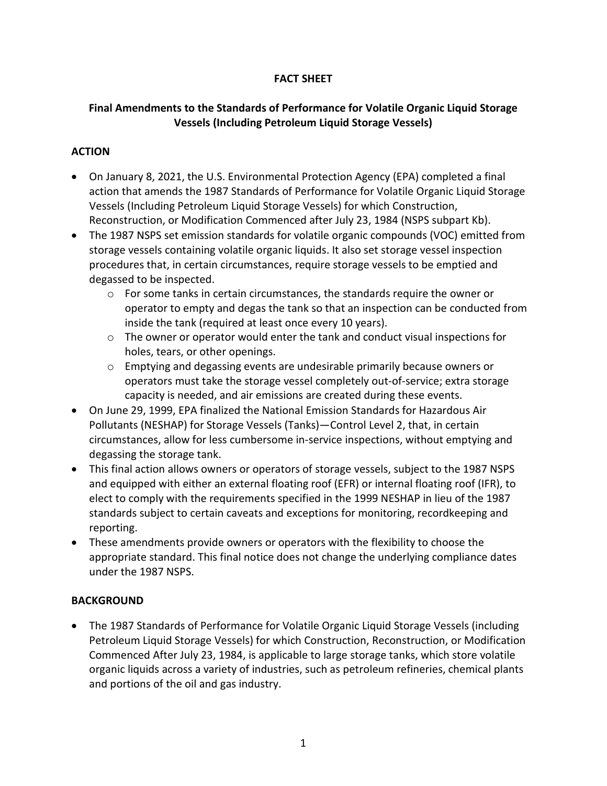## **FACT SHEET**

# **Final Amendments to the Standards of Performance for Volatile Organic Liquid Storage Vessels (Including Petroleum Liquid Storage Vessels)**

### **ACTION**

- On January 8, 2021, the U.S. Environmental Protection Agency (EPA) completed a final action that amends the 1987 Standards of Performance for Volatile Organic Liquid Storage Vessels (Including Petroleum Liquid Storage Vessels) for which Construction, Reconstruction, or Modification Commenced after July 23, 1984 (NSPS subpart Kb).
- The 1987 NSPS set emission standards for volatile organic compounds (VOC) emitted from storage vessels containing volatile organic liquids. It also set storage vessel inspection procedures that, in certain circumstances, require storage vessels to be emptied and degassed to be inspected.
	- $\circ$  For some tanks in certain circumstances, the standards require the owner or operator to empty and degas the tank so that an inspection can be conducted from inside the tank (required at least once every 10 years).
	- $\circ$  The owner or operator would enter the tank and conduct visual inspections for holes, tears, or other openings.
	- $\circ$  Emptying and degassing events are undesirable primarily because owners or operators must take the storage vessel completely out-of-service; extra storage capacity is needed, and air emissions are created during these events.
- On June 29, 1999, EPA finalized the National Emission Standards for Hazardous Air Pollutants (NESHAP) for Storage Vessels (Tanks)—Control Level 2, that, in certain circumstances, allow for less cumbersome in-service inspections, without emptying and degassing the storage tank.
- This final action allows owners or operators of storage vessels, subject to the 1987 NSPS and equipped with either an external floating roof (EFR) or internal floating roof (IFR), to elect to comply with the requirements specified in the 1999 NESHAP in lieu of the 1987 standards subject to certain caveats and exceptions for monitoring, recordkeeping and reporting.
- These amendments provide owners or operators with the flexibility to choose the appropriate standard. This final notice does not change the underlying compliance dates under the 1987 NSPS.

## **BACKGROUND**

• The 1987 Standards of Performance for Volatile Organic Liquid Storage Vessels (including Petroleum Liquid Storage Vessels) for which Construction, Reconstruction, or Modification Commenced After July 23, 1984, is applicable to large storage tanks, which store volatile organic liquids across a variety of industries, such as petroleum refineries, chemical plants and portions of the oil and gas industry.